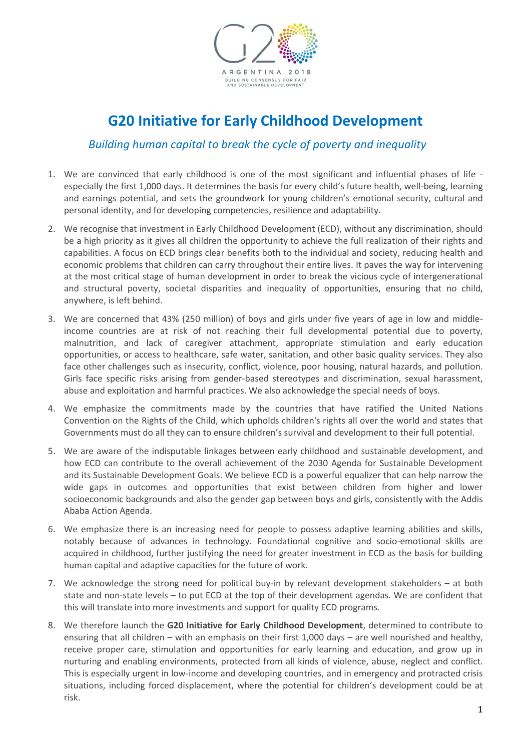

# **G20 Initiative for Early Childhood Development**

# *Building human capital to break the cycle of poverty and inequality*

- 1. We are convinced that early childhood is one of the most significant and influential phases of life especially the first 1,000 days. It determines the basis for every child's future health, well-being, learning and earnings potential, and sets the groundwork for young children's emotional security, cultural and personal identity, and for developing competencies, resilience and adaptability.
- 2. We recognise that investment in Early Childhood Development (ECD), without any discrimination, should be a high priority as it gives all children the opportunity to achieve the full realization of their rights and capabilities. A focus on ECD brings clear benefits both to the individual and society, reducing health and economic problems that children can carry throughout their entire lives. It paves the way for intervening at the most critical stage of human development in order to break the vicious cycle of intergenerational and structural poverty, societal disparities and inequality of opportunities, ensuring that no child, anywhere, is left behind.
- 3. We are concerned that 43% (250 million) of boys and girls under five years of age in low and middleincome countries are at risk of not reaching their full developmental potential due to poverty, malnutrition, and lack of caregiver attachment, appropriate stimulation and early education opportunities, or access to healthcare, safe water, sanitation, and other basic quality services. They also face other challenges such as insecurity, conflict, violence, poor housing, natural hazards, and pollution. Girls face specific risks arising from gender-based stereotypes and discrimination, sexual harassment, abuse and exploitation and harmful practices. We also acknowledge the special needs of boys.
- 4. We emphasize the commitments made by the countries that have ratified the United Nations Convention on the Rights of the Child, which upholds children's rights all over the world and states that Governments must do all they can to ensure children's survival and development to their full potential.
- 5. We are aware of the indisputable linkages between early childhood and sustainable development, and how ECD can contribute to the overall achievement of the 2030 Agenda for Sustainable Development and its Sustainable Development Goals. We believe ECD is a powerful equalizer that can help narrow the wide gaps in outcomes and opportunities that exist between children from higher and lower socioeconomic backgrounds and also the gender gap between boys and girls, consistently with the Addis Ababa Action Agenda.
- 6. We emphasize there is an increasing need for people to possess adaptive learning abilities and skills, notably because of advances in technology. Foundational cognitive and socio-emotional skills are acquired in childhood, further justifying the need for greater investment in ECD as the basis for building human capital and adaptive capacities for the future of work.
- 7. We acknowledge the strong need for political buy-in by relevant development stakeholders at both state and non-state levels – to put ECD at the top of their development agendas. We are confident that this will translate into more investments and support for quality ECD programs.
- 8. We therefore launch the **G20 Initiative for Early Childhood Development**, determined to contribute to ensuring that all children – with an emphasis on their first 1,000 days – are well nourished and healthy, receive proper care, stimulation and opportunities for early learning and education, and grow up in nurturing and enabling environments, protected from all kinds of violence, abuse, neglect and conflict. This is especially urgent in low-income and developing countries, and in emergency and protracted crisis situations, including forced displacement, where the potential for children's development could be at risk.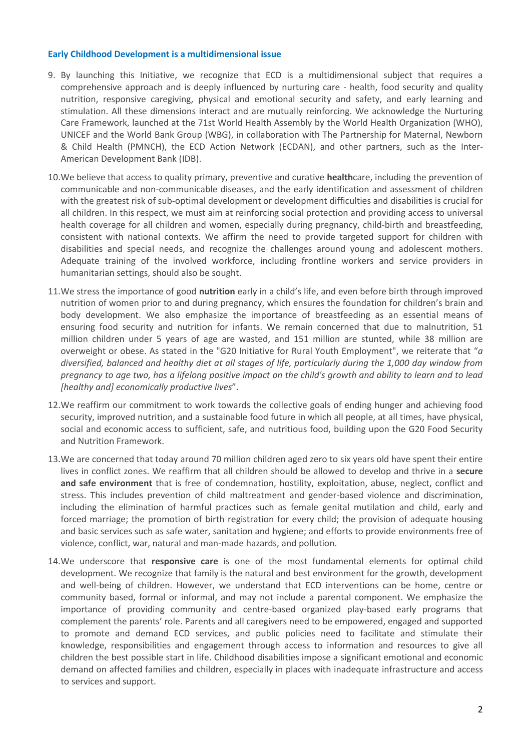#### **Early Childhood Development is a multidimensional issue**

- 9. By launching this Initiative, we recognize that ECD is a multidimensional subject that requires a comprehensive approach and is deeply influenced by nurturing care - health, food security and quality nutrition, responsive caregiving, physical and emotional security and safety, and early learning and stimulation. All these dimensions interact and are mutually reinforcing. We acknowledge the Nurturing Care Framework, launched at the 71st World Health Assembly by the World Health Organization (WHO), UNICEF and the World Bank Group (WBG), in collaboration with The Partnership for Maternal, Newborn & Child Health (PMNCH), the ECD Action Network (ECDAN), and other partners, such as the Inter-American Development Bank (IDB).
- 10.We believe that access to quality primary, preventive and curative **health**care, including the prevention of communicable and non-communicable diseases, and the early identification and assessment of children with the greatest risk of sub-optimal development or development difficulties and disabilities is crucial for all children. In this respect, we must aim at reinforcing social protection and providing access to universal health coverage for all children and women, especially during pregnancy, child-birth and breastfeeding, consistent with national contexts. We affirm the need to provide targeted support for children with disabilities and special needs, and recognize the challenges around young and adolescent mothers. Adequate training of the involved workforce, including frontline workers and service providers in humanitarian settings, should also be sought.
- 11.We stress the importance of good **nutrition** early in a child's life, and even before birth through improved nutrition of women prior to and during pregnancy, which ensures the foundation for children's brain and body development. We also emphasize the importance of breastfeeding as an essential means of ensuring food security and nutrition for infants. We remain concerned that due to malnutrition, 51 million children under 5 years of age are wasted, and 151 million are stunted, while 38 million are overweight or obese. As stated in the "G20 Initiative for Rural Youth Employment", we reiterate that "*a diversified, balanced and healthy diet at all stages of life, particularly during the 1,000 day window from pregnancy to age two, has a lifelong positive impact on the child's growth and ability to learn and to lead [healthy and] economically productive lives*".
- 12.We reaffirm our commitment to work towards the collective goals of ending hunger and achieving food security, improved nutrition, and a sustainable food future in which all people, at all times, have physical, social and economic access to sufficient, safe, and nutritious food, building upon the G20 Food Security and Nutrition Framework.
- 13.We are concerned that today around 70 million children aged zero to six years old have spent their entire lives in conflict zones. We reaffirm that all children should be allowed to develop and thrive in a **secure and safe environment** that is free of condemnation, hostility, exploitation, abuse, neglect, conflict and stress. This includes prevention of child maltreatment and gender-based violence and discrimination, including the elimination of harmful practices such as female genital mutilation and child, early and forced marriage; the promotion of birth registration for every child; the provision of adequate housing and basic services such as safe water, sanitation and hygiene; and efforts to provide environments free of violence, conflict, war, natural and man-made hazards, and pollution.
- 14.We underscore that **responsive care** is one of the most fundamental elements for optimal child development. We recognize that family is the natural and best environment for the growth, development and well-being of children. However, we understand that ECD interventions can be home, centre or community based, formal or informal, and may not include a parental component. We emphasize the importance of providing community and centre-based organized play-based early programs that complement the parents' role. Parents and all caregivers need to be empowered, engaged and supported to promote and demand ECD services, and public policies need to facilitate and stimulate their knowledge, responsibilities and engagement through access to information and resources to give all children the best possible start in life. Childhood disabilities impose a significant emotional and economic demand on affected families and children, especially in places with inadequate infrastructure and access to services and support.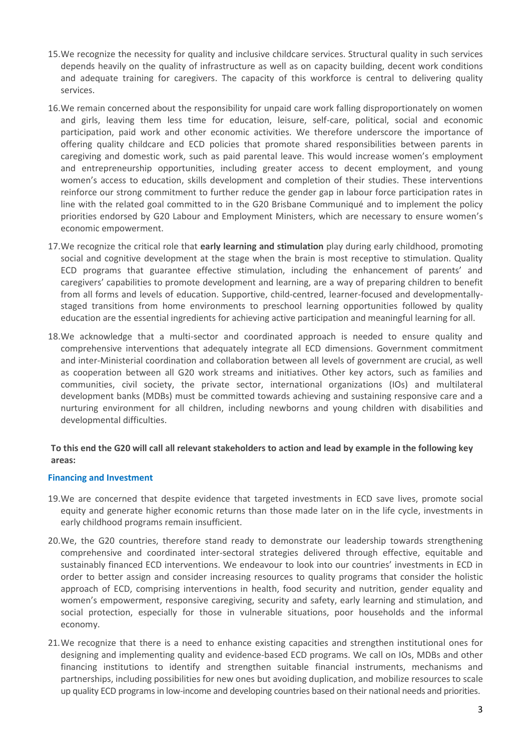- 15.We recognize the necessity for quality and inclusive childcare services. Structural quality in such services depends heavily on the quality of infrastructure as well as on capacity building, decent work conditions and adequate training for caregivers. The capacity of this workforce is central to delivering quality services.
- 16.We remain concerned about the responsibility for unpaid care work falling disproportionately on women and girls, leaving them less time for education, leisure, self-care, political, social and economic participation, paid work and other economic activities. We therefore underscore the importance of offering quality childcare and ECD policies that promote shared responsibilities between parents in caregiving and domestic work, such as paid parental leave. This would increase women's employment and entrepreneurship opportunities, including greater access to decent employment, and young women's access to education, skills development and completion of their studies. These interventions reinforce our strong commitment to further reduce the gender gap in labour force participation rates in line with the related goal committed to in the G20 Brisbane Communiqué and to implement the policy priorities endorsed by G20 Labour and Employment Ministers, which are necessary to ensure women's economic empowerment.
- 17.We recognize the critical role that **early learning and stimulation** play during early childhood, promoting social and cognitive development at the stage when the brain is most receptive to stimulation. Quality ECD programs that guarantee effective stimulation, including the enhancement of parents' and caregivers' capabilities to promote development and learning, are a way of preparing children to benefit from all forms and levels of education. Supportive, child-centred, learner-focused and developmentallystaged transitions from home environments to preschool learning opportunities followed by quality education are the essential ingredients for achieving active participation and meaningful learning for all.
- 18.We acknowledge that a multi-sector and coordinated approach is needed to ensure quality and comprehensive interventions that adequately integrate all ECD dimensions. Government commitment and inter-Ministerial coordination and collaboration between all levels of government are crucial, as well as cooperation between all G20 work streams and initiatives. Other key actors, such as families and communities, civil society, the private sector, international organizations (IOs) and multilateral development banks (MDBs) must be committed towards achieving and sustaining responsive care and a nurturing environment for all children, including newborns and young children with disabilities and developmental difficulties.

# **To this end the G20 will call all relevant stakeholders to action and lead by example in the following key areas:**

## **Financing and Investment**

- 19.We are concerned that despite evidence that targeted investments in ECD save lives, promote social equity and generate higher economic returns than those made later on in the life cycle, investments in early childhood programs remain insufficient.
- 20.We, the G20 countries, therefore stand ready to demonstrate our leadership towards strengthening comprehensive and coordinated inter-sectoral strategies delivered through effective, equitable and sustainably financed ECD interventions. We endeavour to look into our countries' investments in ECD in order to better assign and consider increasing resources to quality programs that consider the holistic approach of ECD, comprising interventions in health, food security and nutrition, gender equality and women's empowerment, responsive caregiving, security and safety, early learning and stimulation, and social protection, especially for those in vulnerable situations, poor households and the informal economy.
- 21.We recognize that there is a need to enhance existing capacities and strengthen institutional ones for designing and implementing quality and evidence-based ECD programs. We call on IOs, MDBs and other financing institutions to identify and strengthen suitable financial instruments, mechanisms and partnerships, including possibilities for new ones but avoiding duplication, and mobilize resources to scale up quality ECD programs in low-income and developing countries based on their national needs and priorities.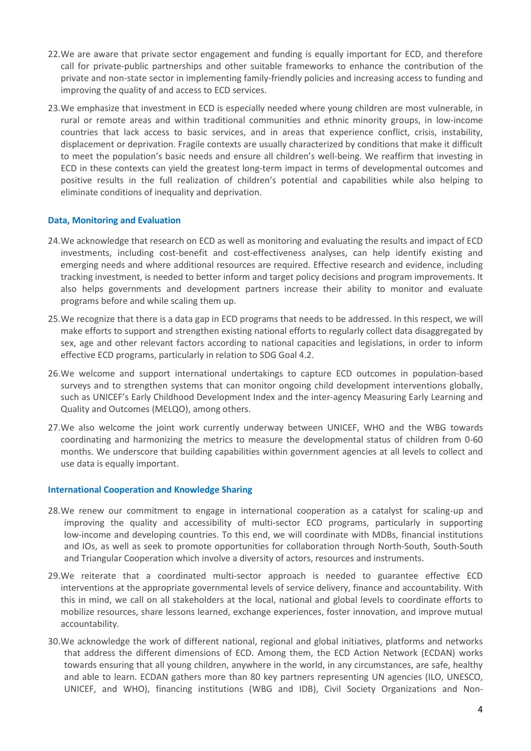- 22.We are aware that private sector engagement and funding is equally important for ECD, and therefore call for private-public partnerships and other suitable frameworks to enhance the contribution of the private and non-state sector in implementing family-friendly policies and increasing access to funding and improving the quality of and access to ECD services.
- 23.We emphasize that investment in ECD is especially needed where young children are most vulnerable, in rural or remote areas and within traditional communities and ethnic minority groups, in low-income countries that lack access to basic services, and in areas that experience conflict, crisis, instability, displacement or deprivation. Fragile contexts are usually characterized by conditions that make it difficult to meet the population's basic needs and ensure all children's well-being. We reaffirm that investing in ECD in these contexts can yield the greatest long-term impact in terms of developmental outcomes and positive results in the full realization of children's potential and capabilities while also helping to eliminate conditions of inequality and deprivation.

# **Data, Monitoring and Evaluation**

- 24.We acknowledge that research on ECD as well as monitoring and evaluating the results and impact of ECD investments, including cost-benefit and cost-effectiveness analyses, can help identify existing and emerging needs and where additional resources are required. Effective research and evidence, including tracking investment, is needed to better inform and target policy decisions and program improvements. It also helps governments and development partners increase their ability to monitor and evaluate programs before and while scaling them up.
- 25.We recognize that there is a data gap in ECD programs that needs to be addressed. In this respect, we will make efforts to support and strengthen existing national efforts to regularly collect data disaggregated by sex, age and other relevant factors according to national capacities and legislations, in order to inform effective ECD programs, particularly in relation to SDG Goal 4.2.
- 26.We welcome and support international undertakings to capture ECD outcomes in population-based surveys and to strengthen systems that can monitor ongoing child development interventions globally, such as UNICEF's Early Childhood Development Index and the inter-agency Measuring Early Learning and Quality and Outcomes (MELQO), among others.
- 27.We also welcome the joint work currently underway between UNICEF, WHO and the WBG towards coordinating and harmonizing the metrics to measure the developmental status of children from 0-60 months. We underscore that building capabilities within government agencies at all levels to collect and use data is equally important.

## **International Cooperation and Knowledge Sharing**

- 28.We renew our commitment to engage in international cooperation as a catalyst for scaling-up and improving the quality and accessibility of multi-sector ECD programs, particularly in supporting low-income and developing countries. To this end, we will coordinate with MDBs, financial institutions and IOs, as well as seek to promote opportunities for collaboration through North-South, South-South and Triangular Cooperation which involve a diversity of actors, resources and instruments.
- 29.We reiterate that a coordinated multi-sector approach is needed to guarantee effective ECD interventions at the appropriate governmental levels of service delivery, finance and accountability. With this in mind, we call on all stakeholders at the local, national and global levels to coordinate efforts to mobilize resources, share lessons learned, exchange experiences, foster innovation, and improve mutual accountability.
- 30.We acknowledge the work of different national, regional and global initiatives, platforms and networks that address the different dimensions of ECD. Among them, the ECD Action Network (ECDAN) works towards ensuring that all young children, anywhere in the world, in any circumstances, are safe, healthy and able to learn. ECDAN gathers more than 80 key partners representing UN agencies (ILO, UNESCO, UNICEF, and WHO), financing institutions (WBG and IDB), Civil Society Organizations and Non-